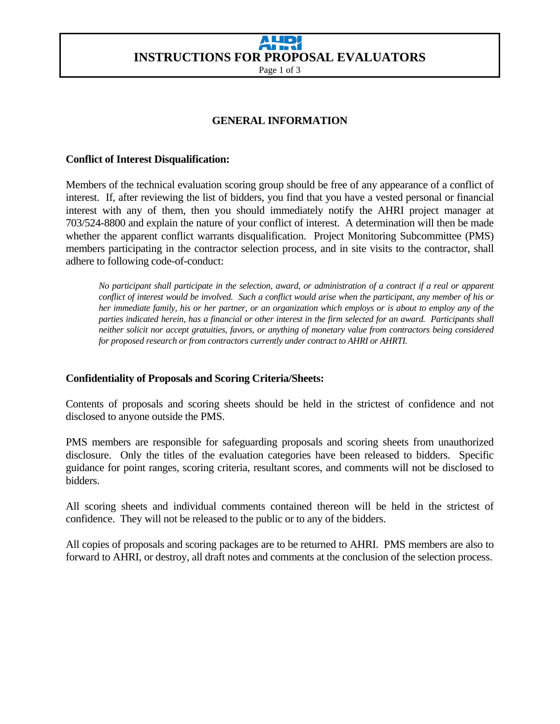# **AHR INSTRUCTIONS FOR PROPOSAL EVALUATORS**

Page 1 of 3

## **GENERAL INFORMATION**

#### **Conflict of Interest Disqualification:**

Members of the technical evaluation scoring group should be free of any appearance of a conflict of interest. If, after reviewing the list of bidders, you find that you have a vested personal or financial interest with any of them, then you should immediately notify the AHRI project manager at 703/524-8800 and explain the nature of your conflict of interest. A determination will then be made whether the apparent conflict warrants disqualification. Project Monitoring Subcommittee (PMS) members participating in the contractor selection process, and in site visits to the contractor, shall adhere to following code-of-conduct:

*No participant shall participate in the selection, award, or administration of a contract if a real or apparent conflict of interest would be involved. Such a conflict would arise when the participant, any member of his or her immediate family, his or her partner, or an organization which employs or is about to employ any of the parties indicated herein, has a financial or other interest in the firm selected for an award. Participants shall neither solicit nor accept gratuities, favors, or anything of monetary value from contractors being considered for proposed research or from contractors currently under contract to AHRI or AHRTI.* 

#### **Confidentiality of Proposals and Scoring Criteria/Sheets:**

Contents of proposals and scoring sheets should be held in the strictest of confidence and not disclosed to anyone outside the PMS.

PMS members are responsible for safeguarding proposals and scoring sheets from unauthorized disclosure. Only the titles of the evaluation categories have been released to bidders. Specific guidance for point ranges, scoring criteria, resultant scores, and comments will not be disclosed to bidders.

All scoring sheets and individual comments contained thereon will be held in the strictest of confidence. They will not be released to the public or to any of the bidders.

All copies of proposals and scoring packages are to be returned to AHRI. PMS members are also to forward to AHRI, or destroy, all draft notes and comments at the conclusion of the selection process.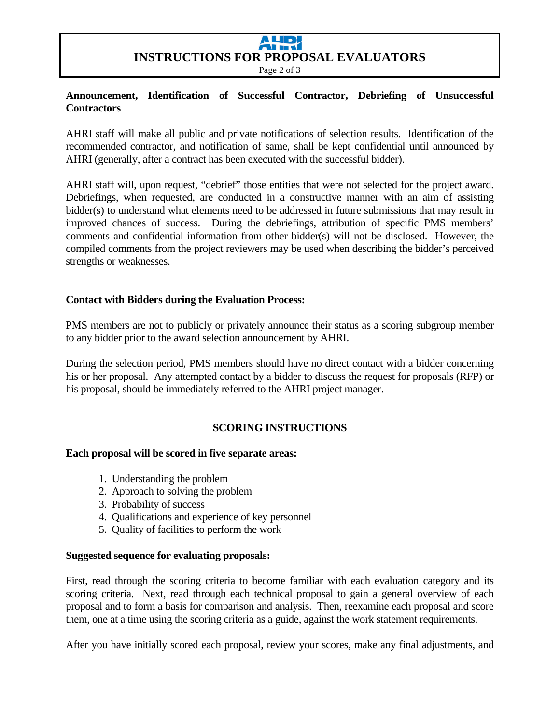# **AHR INSTRUCTIONS FOR PROPOSAL EVALUATORS**

Page 2 of 3

### **Announcement, Identification of Successful Contractor, Debriefing of Unsuccessful Contractors**

AHRI staff will make all public and private notifications of selection results. Identification of the recommended contractor, and notification of same, shall be kept confidential until announced by AHRI (generally, after a contract has been executed with the successful bidder).

AHRI staff will, upon request, "debrief" those entities that were not selected for the project award. Debriefings, when requested, are conducted in a constructive manner with an aim of assisting bidder(s) to understand what elements need to be addressed in future submissions that may result in improved chances of success. During the debriefings, attribution of specific PMS members' comments and confidential information from other bidder(s) will not be disclosed. However, the compiled comments from the project reviewers may be used when describing the bidder's perceived strengths or weaknesses.

#### **Contact with Bidders during the Evaluation Process:**

PMS members are not to publicly or privately announce their status as a scoring subgroup member to any bidder prior to the award selection announcement by AHRI.

During the selection period, PMS members should have no direct contact with a bidder concerning his or her proposal. Any attempted contact by a bidder to discuss the request for proposals (RFP) or his proposal, should be immediately referred to the AHRI project manager.

#### **SCORING INSTRUCTIONS**

#### **Each proposal will be scored in five separate areas:**

- 1. Understanding the problem
- 2. Approach to solving the problem
- 3. Probability of success
- 4. Qualifications and experience of key personnel
- 5. Quality of facilities to perform the work

#### **Suggested sequence for evaluating proposals:**

First, read through the scoring criteria to become familiar with each evaluation category and its scoring criteria. Next, read through each technical proposal to gain a general overview of each proposal and to form a basis for comparison and analysis. Then, reexamine each proposal and score them, one at a time using the scoring criteria as a guide, against the work statement requirements.

After you have initially scored each proposal, review your scores, make any final adjustments, and